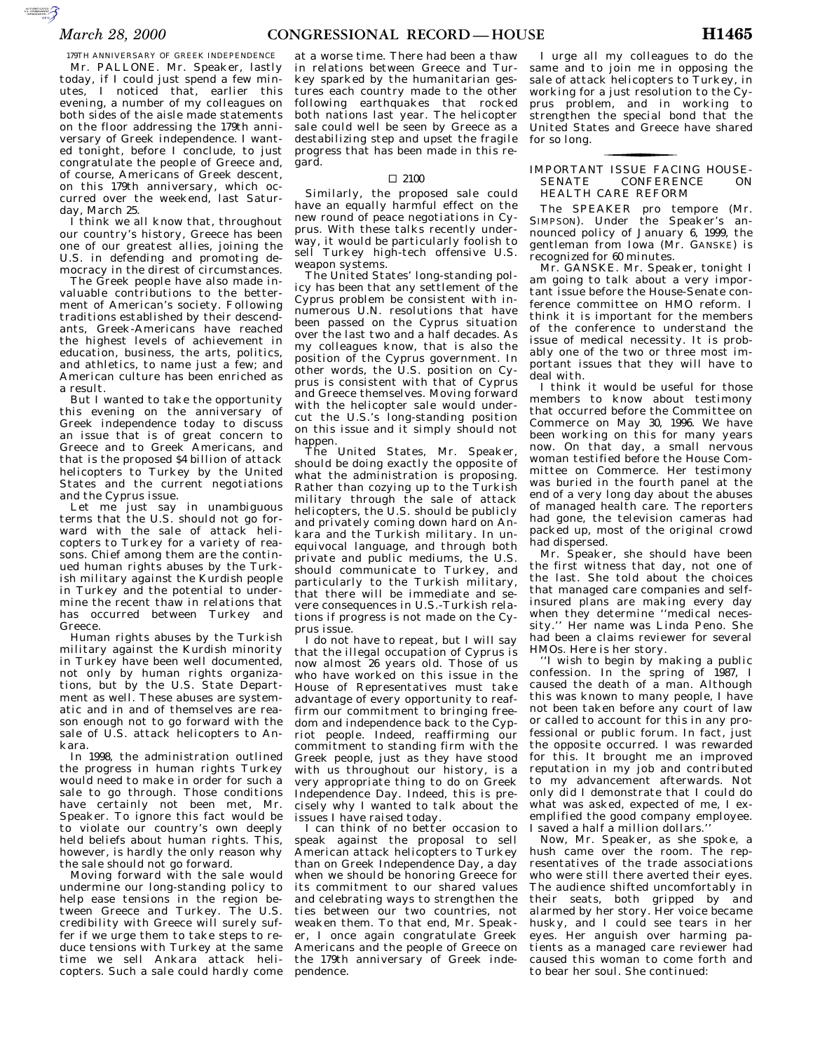179TH ANNIVERSARY OF GREEK INDEPENDENCE Mr. PALLONE. Mr. Speaker, lastly today, if I could just spend a few minutes, I noticed that, earlier this evening, a number of my colleagues on both sides of the aisle made statements on the floor addressing the 179th anniversary of Greek independence. I wanted tonight, before I conclude, to just congratulate the people of Greece and, of course, Americans of Greek descent, on this 179th anniversary, which occurred over the weekend, last Saturday, March 25.

I think we all know that, throughout our country's history, Greece has been one of our greatest allies, joining the U.S. in defending and promoting democracy in the direst of circumstances.

The Greek people have also made invaluable contributions to the betterment of American's society. Following traditions established by their descendants, Greek-Americans have reached the highest levels of achievement in education, business, the arts, politics, and athletics, to name just a few; and American culture has been enriched as a result.

But I wanted to take the opportunity this evening on the anniversary of Greek independence today to discuss an issue that is of great concern to Greece and to Greek Americans, and that is the proposed \$4 billion of attack helicopters to Turkey by the United States and the current negotiations and the Cyprus issue.

Let me just say in unambiguous terms that the U.S. should not go forward with the sale of attack helicopters to Turkey for a variety of reasons. Chief among them are the continued human rights abuses by the Turkish military against the Kurdish people in Turkey and the potential to undermine the recent thaw in relations that has occurred between Turkey and Greece.

Human rights abuses by the Turkish military against the Kurdish minority in Turkey have been well documented, not only by human rights organizations, but by the U.S. State Department as well. These abuses are systematic and in and of themselves are reason enough not to go forward with the sale of U.S. attack helicopters to Ankara.

In 1998, the administration outlined the progress in human rights Turkey would need to make in order for such a sale to go through. Those conditions have certainly not been met. Mr. Speaker. To ignore this fact would be to violate our country's own deeply held beliefs about human rights. This, however, is hardly the only reason why the sale should not go forward.

Moving forward with the sale would undermine our long-standing policy to help ease tensions in the region between Greece and Turkey. The U.S. credibility with Greece will surely suffer if we urge them to take steps to reduce tensions with Turkey at the same time we sell Ankara attack helicopters. Such a sale could hardly come

at a worse time. There had been a thaw in relations between Greece and Turkey sparked by the humanitarian gestures each country made to the other following earthquakes that rocked both nations last year. The helicopter sale could well be seen by Greece as a destabilizing step and upset the fragile progress that has been made in this regard.

#### $\Box$  2100

Similarly, the proposed sale could have an equally harmful effect on the new round of peace negotiations in Cyprus. With these talks recently underway, it would be particularly foolish to sell Turkey high-tech offensive U.S. weapon systems.

The United States' long-standing policy has been that any settlement of the Cyprus problem be consistent with innumerous U.N. resolutions that have been passed on the Cyprus situation over the last two and a half decades. As my colleagues know, that is also the position of the Cyprus government. In other words, the  $U.S.$  position on Cyprus is consistent with that of Cyprus and Greece themselves. Moving forward with the helicopter sale would undercut the U.S.'s long-standing position on this issue and it simply should not happen.

The United States, Mr. Speaker, should be doing exactly the opposite of what the administration is proposing. Rather than cozying up to the Turkish military through the sale of attack helicopters, the U.S. should be publicly and privately coming down hard on Ankara and the Turkish military. In unequivocal language, and through both private and public mediums, the U.S. should communicate to Turkey, and particularly to the Turkish military, that there will be immediate and severe consequences in U.S.-Turkish relations if progress is not made on the Cyprus issue.

I do not have to repeat, but I will say that the illegal occupation of Cyprus is now almost 26 years old. Those of us who have worked on this issue in the House of Representatives must take advantage of every opportunity to reaffirm our commitment to bringing freedom and independence back to the Cypriot people. Indeed, reaffirming our commitment to standing firm with the Greek people, just as they have stood with us throughout our history, is a very appropriate thing to do on Greek Independence Day. Indeed, this is precisely why I wanted to talk about the issues I have raised today.

I can think of no better occasion to speak against the proposal to sell American attack helicopters to Turkey than on Greek Independence Day, a day when we should be honoring Greece for its commitment to our shared values and celebrating ways to strengthen the ties between our two countries, not weaken them. To that end, Mr. Speaker, I once again congratulate Greek Americans and the people of Greece on the 179th anniversary of Greek independence.

I urge all my colleagues to do the same and to join me in opposing the sale of attack helicopters to Turkey, in working for a just resolution to the Cyprus problem, and in working to strengthen the special bond that the United States and Greece have shared for so long.

### IMPORTANT ISSUE FACING HOUSE-<br>SENATE CONFERENCE ON **CONFERENCE** <u>for the contract of the contract of the contract of the contract of the contract of the contract of the contract of the contract of the contract of the contract of the contract of the contract of the contract of the contr</u> HEALTH CARE REFORM

The SPEAKER pro tempore (Mr. SIMPSON). Under the Speaker's announced policy of January 6, 1999, the gentleman from Iowa (Mr. GANSKE) is recognized for 60 minutes.

Mr. GANSKE. Mr. Speaker, tonight I am going to talk about a very important issue before the House-Senate conference committee on HMO reform. I think it is important for the members of the conference to understand the issue of medical necessity. It is probably one of the two or three most important issues that they will have to deal with.

I think it would be useful for those members to know about testimony that occurred before the Committee on Commerce on May 30, 1996. We have been working on this for many years now. On that day, a small nervous woman testified before the House Committee on Commerce. Her testimony was buried in the fourth panel at the end of a very long day about the abuses of managed health care. The reporters had gone, the television cameras had packed up, most of the original crowd had dispersed.

Mr. Speaker, she should have been the first witness that day, not one of the last. She told about the choices that managed care companies and selfinsured plans are making every day when they determine ''medical necessity.'' Her name was Linda Peno. She had been a claims reviewer for several HMOs. Here is her story.

''I wish to begin by making a public confession. In the spring of 1987, I caused the death of a man. Although this was known to many people, I have not been taken before any court of law or called to account for this in any professional or public forum. In fact, just the opposite occurred. I was rewarded for this. It brought me an improved reputation in my job and contributed to my advancement afterwards. Not only did I demonstrate that I could do what was asked, expected of me, I exemplified the good company employee. I saved a half a million dollars.''

Now, Mr. Speaker, as she spoke, a hush came over the room. The representatives of the trade associations who were still there averted their eyes. The audience shifted uncomfortably in their seats, both gripped by and alarmed by her story. Her voice became husky, and I could see tears in her eyes. Her anguish over harming patients as a managed care reviewer had caused this woman to come forth and to bear her soul. She continued: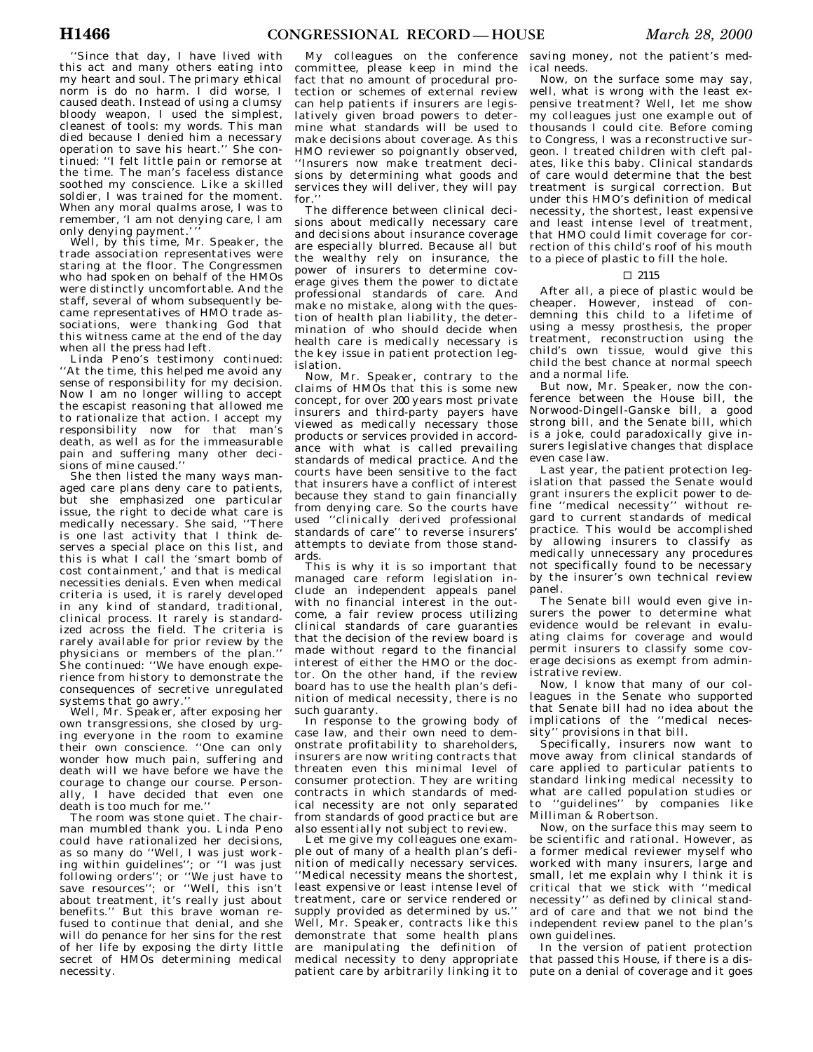''Since that day, I have lived with this act and many others eating into my heart and soul. The primary ethical norm is do no harm. I did worse, I caused death. Instead of using a clumsy bloody weapon, I used the simplest, cleanest of tools: my words. This man died because I denied him a necessary operation to save his heart.'' She continued: ''I felt little pain or remorse at the time. The man's faceless distance soothed my conscience. Like a skilled soldier, I was trained for the moment. When any moral qualms arose, I was to remember, 'I am not denying care, I am only denying payment.'''

Well, by this time, Mr. Speaker, the trade association representatives were staring at the floor. The Congressmen who had spoken on behalf of the HMOs were distinctly uncomfortable. And the staff, several of whom subsequently became representatives of HMO trade associations, were thanking God that this witness came at the end of the day when all the press had left.

Linda Peno's testimony continued: ''At the time, this helped me avoid any sense of responsibility for my decision. Now I am no longer willing to accept the escapist reasoning that allowed me to rationalize that action. I accept my responsibility now for that man's death, as well as for the immeasurable pain and suffering many other decisions of mine caused.''

She then listed the many ways managed care plans deny care to patients, but she emphasized one particular issue, the right to decide what care is medically necessary. She said, ''There is one last activity that I think deserves a special place on this list, and this is what I call the 'smart bomb of cost containment,' and that is medical necessities denials. Even when medical criteria is used, it is rarely developed in any kind of standard, traditional, clinical process. It rarely is standardized across the field. The criteria is rarely available for prior review by the physicians or members of the plan.'' She continued: ''We have enough experience from history to demonstrate the consequences of secretive unregulated systems that go awry.''

Well, Mr. Speaker, after exposing her own transgressions, she closed by urging everyone in the room to examine their own conscience. ''One can only wonder how much pain, suffering and death will we have before we have the courage to change our course. Personally, I have decided that even one death is too much for me.''

The room was stone quiet. The chairman mumbled thank you. Linda Peno could have rationalized her decisions, as so many do ''Well, I was just working within guidelines''; or ''I was just following orders''; or ''We just have to save resources''; or ''Well, this isn't about treatment, it's really just about benefits.'' But this brave woman refused to continue that denial, and she will do penance for her sins for the rest of her life by exposing the dirty little secret of HMOs determining medical necessity.

My colleagues on the conference committee, please keep in mind the fact that no amount of procedural protection or schemes of external review can help patients if insurers are legislatively given broad powers to determine what standards will be used to make decisions about coverage. As this HMO reviewer so poignantly observed, ''Insurers now make treatment decisions by determining what goods and services they will deliver, they will pay for.'

The difference between clinical decisions about medically necessary care and decisions about insurance coverage are especially blurred. Because all but the wealthy rely on insurance, the power of insurers to determine coverage gives them the power to dictate professional standards of care. And make no mistake, along with the question of health plan liability, the determination of who should decide when health care is medically necessary is the key issue in patient protection legislation.

Now, Mr. Speaker, contrary to the claims of HMOs that this is some new concept, for over 200 years most private insurers and third-party payers have viewed as medically necessary those products or services provided in accordance with what is called prevailing standards of medical practice. And the courts have been sensitive to the fact that insurers have a conflict of interest because they stand to gain financially from denying care. So the courts have used ''clinically derived professional standards of care'' to reverse insurers' attempts to deviate from those standards.

This is why it is so important that managed care reform legislation include an independent appeals panel with no financial interest in the outcome, a fair review process utilizing clinical standards of care guaranties that the decision of the review board is made without regard to the financial interest of either the HMO or the doctor. On the other hand, if the review board has to use the health plan's definition of medical necessity, there is no such guaranty.

In response to the growing body of case law, and their own need to demonstrate profitability to shareholders, insurers are now writing contracts that threaten even this minimal level of consumer protection. They are writing contracts in which standards of medical necessity are not only separated from standards of good practice but are also essentially not subject to review.

Let me give my colleagues one example out of many of a health plan's definition of medically necessary services. ''Medical necessity means the shortest, least expensive or least intense level of treatment, care or service rendered or supply provided as determined by us.'' Well, Mr. Speaker, contracts like this demonstrate that some health plans are manipulating the definition of medical necessity to deny appropriate patient care by arbitrarily linking it to

saving money, not the patient's medical needs.

Now, on the surface some may say, well, what is wrong with the least expensive treatment? Well, let me show my colleagues just one example out of thousands I could cite. Before coming to Congress, I was a reconstructive surgeon. I treated children with cleft palates, like this baby. Clinical standards of care would determine that the best treatment is surgical correction. But under this HMO's definition of medical necessity, the shortest, least expensive and least intense level of treatment, that HMO could limit coverage for correction of this child's roof of his mouth to a piece of plastic to fill the hole.

### $\Box$  2115

After all, a piece of plastic would be cheaper. However, instead of condemning this child to a lifetime of using a messy prosthesis, the proper treatment, reconstruction using the child's own tissue, would give this child the best chance at normal speech and a normal life.

But now, Mr. Speaker, now the conference between the House bill, the Norwood-Dingell-Ganske bill, a good strong bill, and the Senate bill, which is a joke, could paradoxically give insurers legislative changes that displace even case law.

Last year, the patient protection legislation that passed the Senate would grant insurers the explicit power to de- $\tilde{f}$ ine "medical necessity" gard to current standards of medical practice. This would be accomplished by allowing insurers to classify as medically unnecessary any procedures not specifically found to be necessary by the insurer's own technical review panel.

The Senate bill would even give insurers the power to determine what evidence would be relevant in evaluating claims for coverage and would permit insurers to classify some coverage decisions as exempt from administrative review.

Now, I know that many of our colleagues in the Senate who supported that Senate bill had no idea about the implications of the ''medical necessity'' provisions in that bill.

Specifically, insurers now want to move away from clinical standards of care applied to particular patients to standard linking medical necessity to what are called population studies or to ''guidelines'' by companies like Milliman & Robertson.

Now, on the surface this may seem to be scientific and rational. However, as a former medical reviewer myself who worked with many insurers, large and small, let me explain why I think it is critical that we stick with ''medical necessity'' as defined by clinical standard of care and that we not bind the independent review panel to the plan's own guidelines.

In the version of patient protection that passed this House, if there is a dispute on a denial of coverage and it goes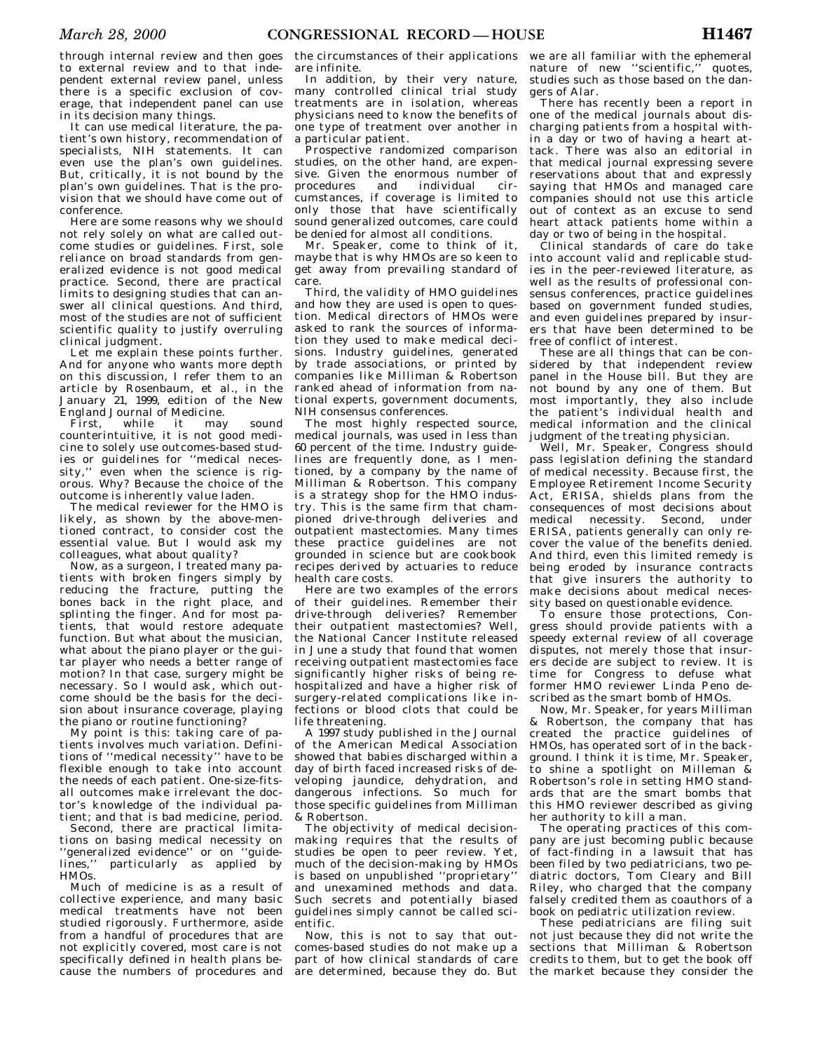through internal review and then goes to external review and to that independent external review panel, unless there is a specific exclusion of coverage, that independent panel can use in its decision many things.

It can use medical literature, the patient's own history, recommendation of specialists, NIH statements. It can even use the plan's own guidelines. But, critically, it is not bound by the plan's own guidelines. That is the provision that we should have come out of conference.

Here are some reasons why we should not rely solely on what are called outcome studies or guidelines. First, sole reliance on broad standards from generalized evidence is not good medical practice. Second, there are practical limits to designing studies that can answer all clinical questions. And third, most of the studies are not of sufficient scientific quality to justify overruling clinical judgment.

Let me explain these points further. And for anyone who wants more depth on this discussion, I refer them to an article by Rosenbaum, et al., in the January 21, 1999, edition of the New England Journal of Medicine.

First, while it may sound counterintuitive, it is not good medicine to solely use outcomes-based studies or guidelines for ''medical necessity," even when the science is rigorous. Why? Because the choice of the outcome is inherently value laden.

The medical reviewer for the HMO is likely, as shown by the above-mentioned contract, to consider cost the essential value. But I would ask my colleagues, what about quality?

Now, as a surgeon, I treated many patients with broken fingers simply by reducing the fracture, putting the bones back in the right place, and splinting the finger. And for most patients, that would restore adequate function. But what about the musician, what about the piano player or the guitar player who needs a better range of motion? In that case, surgery might be necessary. So I would ask, which outcome should be the basis for the decision about insurance coverage, playing the piano or routine functioning?

My point is this: taking care of patients involves much variation. Definitions of ''medical necessity'' have to be flexible enough to take into account the needs of each patient. One-size-fitsall outcomes make irrelevant the doctor's knowledge of the individual patient; and that is bad medicine, period.

Second, there are practical limitations on basing medical necessity on "generalized evidence" or on "guide-<br>lines." particularly as applied by particularly as applied by HMOs.

Much of medicine is as a result of collective experience, and many basic medical treatments have not been studied rigorously. Furthermore, aside from a handful of procedures that are not explicitly covered, most care is not specifically defined in health plans because the numbers of procedures and

the circumstances of their applications are infinite.

In addition, by their very nature, many controlled clinical trial study treatments are in isolation, whereas physicians need to know the benefits of one type of treatment over another in a particular patient.

Prospective randomized comparison studies, on the other hand, are expensive. Given the enormous number of procedures and individual circumstances, if coverage is limited to only those that have scientifically sound generalized outcomes, care could be denied for almost all conditions.

Mr. Speaker, come to think of it, maybe that is why HMOs are so keen to get away from prevailing standard of care.

Third, the validity of HMO guidelines and how they are used is open to question. Medical directors of HMOs were asked to rank the sources of information they used to make medical decisions. Industry guidelines, generated by trade associations, or printed by companies like Milliman & Robertson ranked ahead of information from national experts, government documents, NIH consensus conferences.

The most highly respected source, medical journals, was used in less than 60 percent of the time. Industry guidelines are frequently done, as I mentioned, by a company by the name of Milliman & Robertson. This company is a strategy shop for the HMO industry. This is the same firm that championed drive-through deliveries and outpatient mastectomies. Many times these practice guidelines are not grounded in science but are cookbook recipes derived by actuaries to reduce health care costs.

Here are two examples of the errors of their guidelines. Remember their drive-through deliveries? Remember their outpatient mastectomies? Well, the National Cancer Institute released in June a study that found that women receiving outpatient mastectomies face significantly higher risks of being rehospitalized and have a higher risk of surgery-related complications like infections or blood clots that could be life threatening.

A 1997 study published in the Journal of the American Medical Association showed that babies discharged within a day of birth faced increased risks of developing jaundice, dehydration, and dangerous infections. So much for those specific guidelines from Milliman & Robertson.

The objectivity of medical decisionmaking requires that the results of studies be open to peer review. Yet, much of the decision-making by HMOs is based on unpublished ''proprietary'' and unexamined methods and data. Such secrets and potentially biased guidelines simply cannot be called scientific.

Now, this is not to say that outcomes-based studies do not make up a part of how clinical standards of care are determined, because they do. But

we are all familiar with the ephemeral nature of new "scientific," quotes, studies such as those based on the dangers of Alar.

There has recently been a report in one of the medical journals about discharging patients from a hospital within a day or two of having a heart attack. There was also an editorial in that medical journal expressing severe reservations about that and expressly saying that HMOs and managed care companies should not use this article out of context as an excuse to send heart attack patients home within a day or two of being in the hospital.

Clinical standards of care do take into account valid and replicable studies in the peer-reviewed literature, as well as the results of professional consensus conferences, practice guidelines based on government funded studies, and even guidelines prepared by insurers that have been determined to be free of conflict of interest.

These are all things that can be considered by that independent review panel in the House bill. But they are not bound by any one of them. But most importantly, they also include the patient's individual health and medical information and the clinical judgment of the treating physician.

Well, Mr. Speaker, Congress should pass legislation defining the standard of medical necessity. Because first, the Employee Retirement Income Security Act, ERISA, shields plans from the consequences of most decisions about medical necessity. Second, under ERISA, patients generally can only recover the value of the benefits denied. And third, even this limited remedy is being eroded by insurance contracts that give insurers the authority to make decisions about medical necessity based on questionable evidence.

To ensure those protections, Congress should provide patients with a speedy external review of all coverage disputes, not merely those that insurers decide are subject to review. It is time for Congress to defuse what former HMO reviewer Linda Peno described as the smart bomb of HMOs.

Now, Mr. Speaker, for years Milliman & Robertson, the company that has created the practice guidelines of HMOs, has operated sort of in the background. I think it is time, Mr. Speaker, to shine a spotlight on Milleman & Robertson's role in setting HMO standards that are the smart bombs that this HMO reviewer described as giving her authority to kill a man.

The operating practices of this company are just becoming public because of fact-finding in a lawsuit that has been filed by two pediatricians, two pediatric doctors, Tom Cleary and Bill Riley, who charged that the company falsely credited them as coauthors of a book on pediatric utilization review.

These pediatricians are filing suit not just because they did not write the sections that Milliman & Robertson credits to them, but to get the book off the market because they consider the